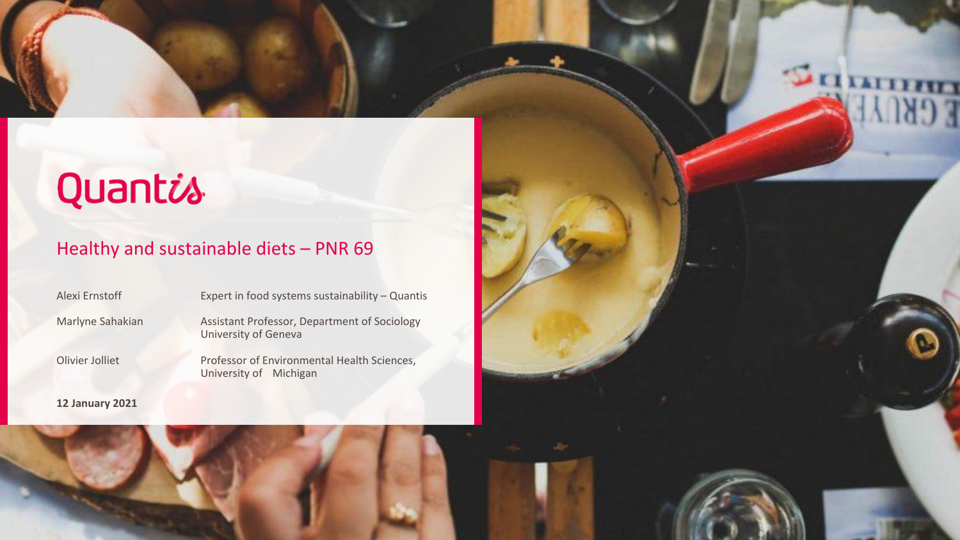# Quantis

#### Healthy and sustainable diets – PNR 69

Alexi Ernstoff Expert in food systems sustainability – Quantis

Marlyne Sahakian Assistant Professor, Department of Sociology University of Geneva

Olivier Jolliet Professor of Environmental Health Sciences, University of Michigan

**12 January 2021**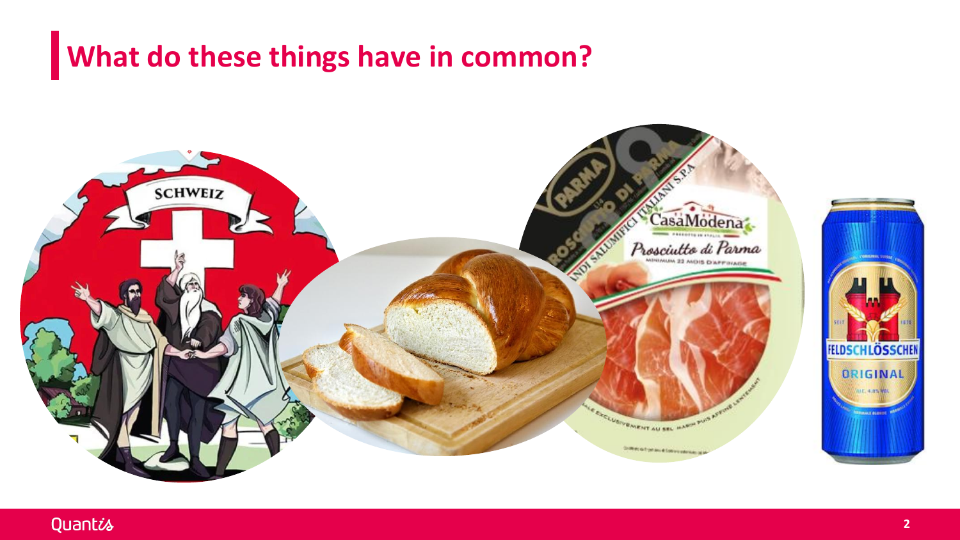#### **What do these things have in common?**



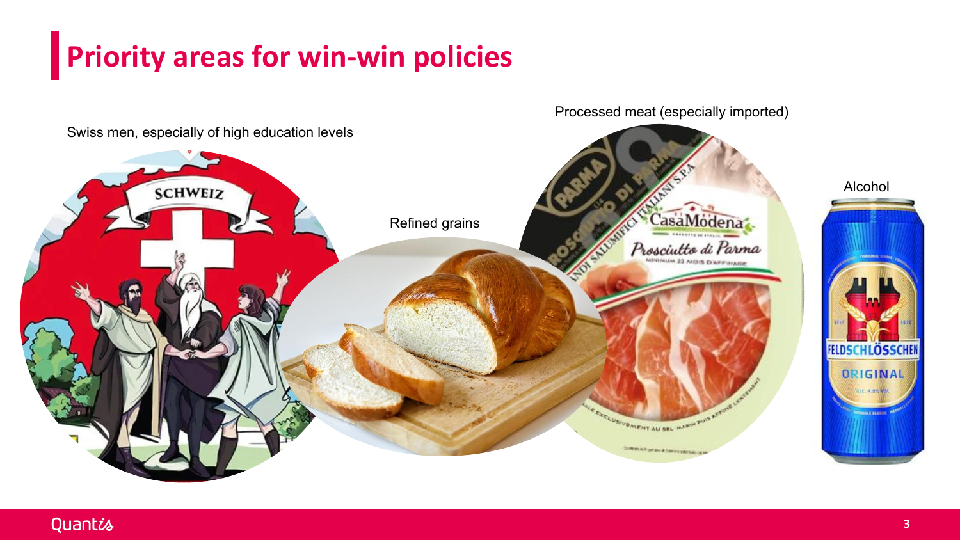### **Priority areas for win-win policies**

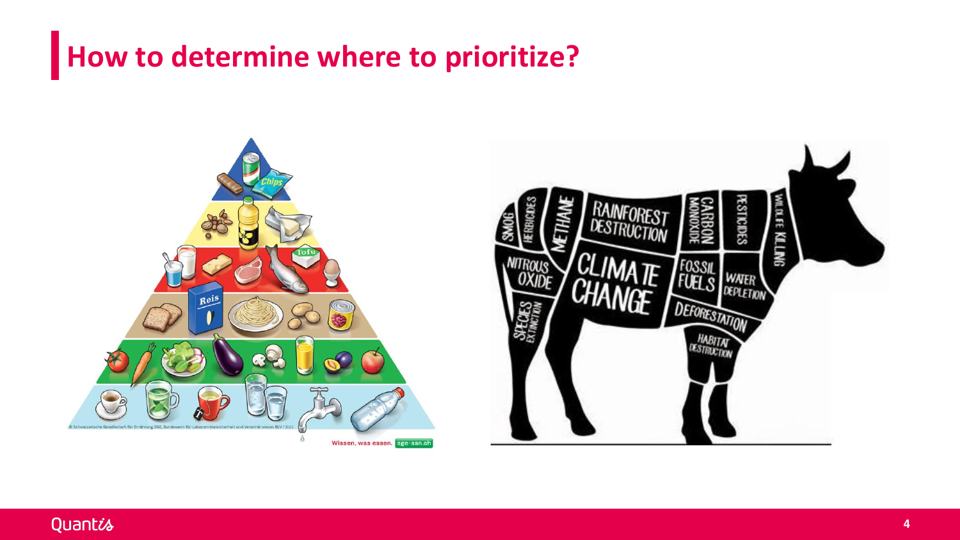#### **How to determine where to prioritize?**

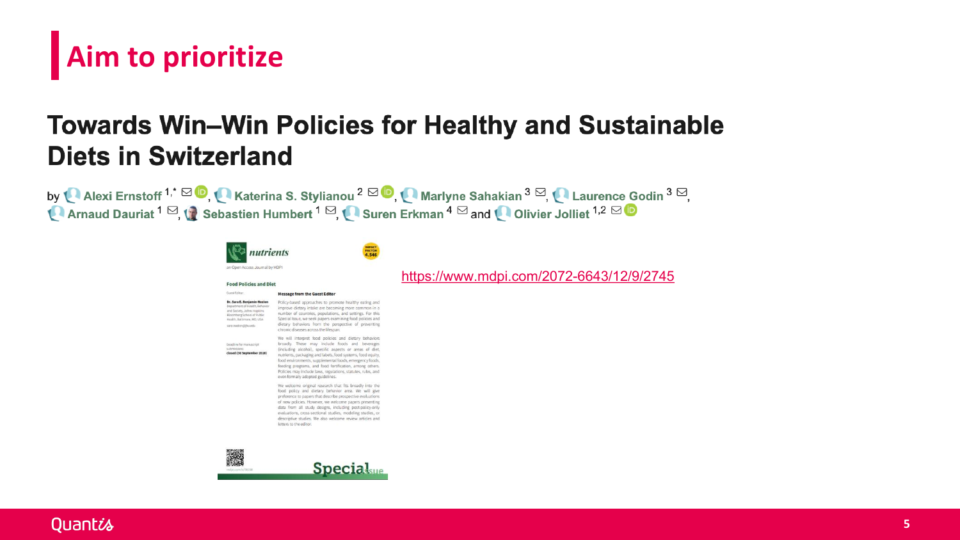## Aim to prioritize

#### **Towards Win-Win Policies for Healthy and Su Diets in Switzerland**

by LAIRER Alexi Ernstoff<sup>1,\*</sup> <sup>in</sup> C Katerina S. Stylianou <sup>2</sup> <sup>in</sup> C Marlyne Sahakian <sup>3</sup> <sup>in</sup>, C Lauren La Arnaud Dauriat <sup>1</sup> ⊠, tabastien Humbert <sup>1</sup> ⊠, Suren Erkman <sup>4</sup> ⊠ and Calivier Jolliet <sup>1,2</sup>



**Food Policies and Diet** Guest Editor:







https://www.mdpi.com/2072-6643/

Dr. Sara E. Benjamin-Neelon<br>Department of Health, Behavio

adine for manuscript<br>smissions:<br>**sed (30 September 2020)** 

Policy-based approaches to promote healthy eating and<br>improve dietary intake are becoming more common in a<br>number of countries, populations, and settings. For this<br>Special Issue, we seek papers examining food policies and<br> chronic diseases across the lifespan.

**Message from the Guest Editor** 

will interpret food policies and die ie will interpret bod policies and dietary behavior and beverage<br>ricularly characterized by constanting at the match of the characterized<br>interprets, packaging and below that the characterized by the constant<br>ricular distr ies may include laws, regulations, statutes, rules, a<br>formally adopted guidelines.

le welcome original research that fits broadly into the<br>lod policy and dietary behavior area. We will give ce to papers that describe prospective evalua f new policies. However, we welcome papers presenting new poicies, mowever, we welcome papers presentint<br>and from all study designs, including post-policy-on-<br>whiations, cross-sectional studies, modeling studies,<br>escriptive studies. We also welcome review articles at<br>tters to



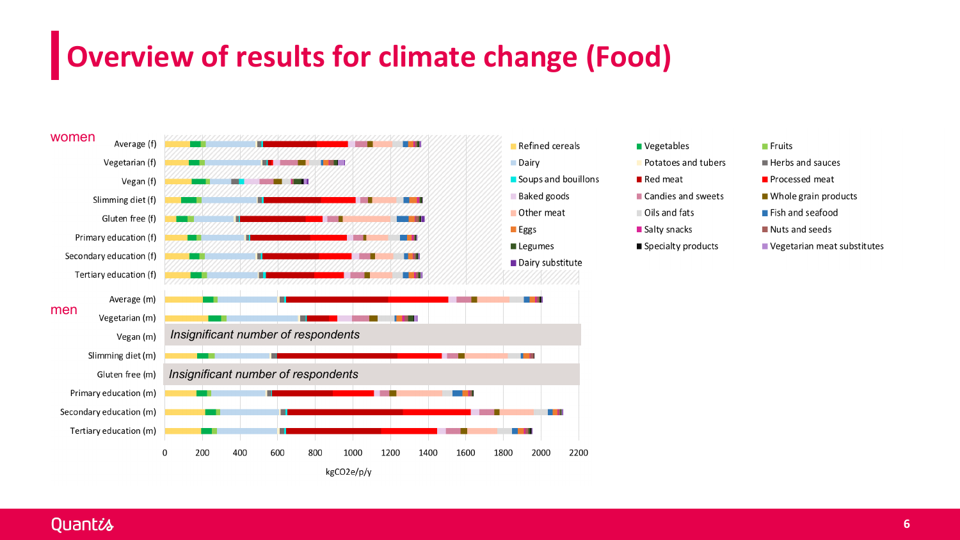### **Overview of results for climate change (Food)**



Quantis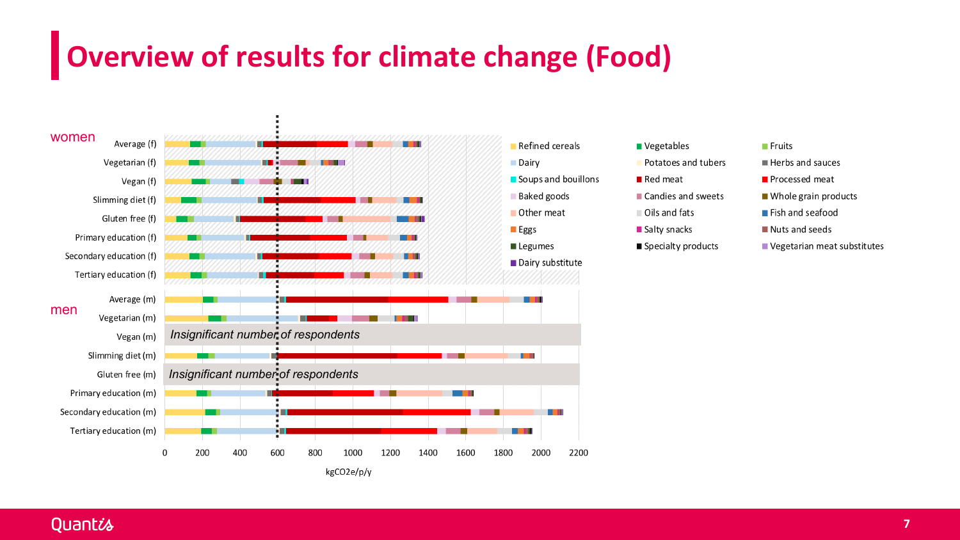### **Overview of results for climate change (Food)**



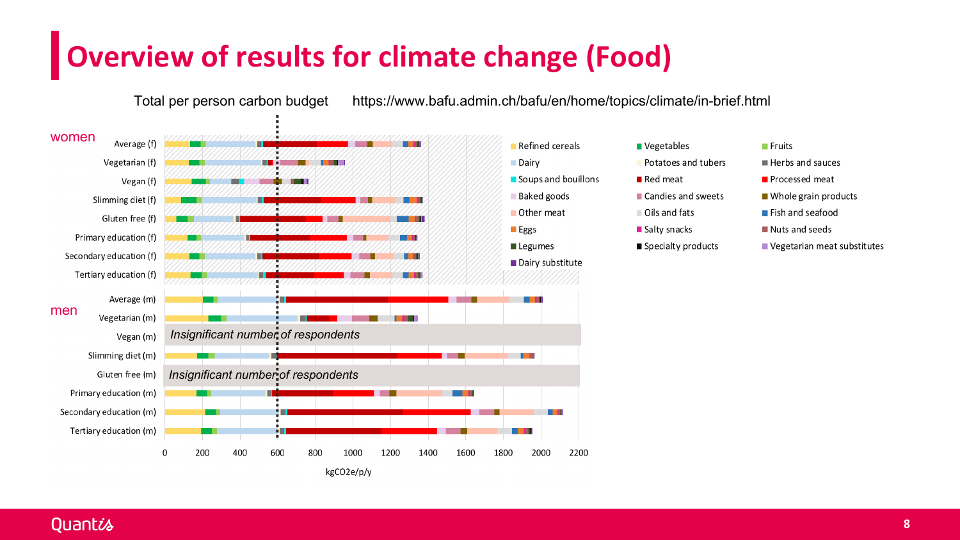#### **Overview of results for climate change (Food)**

Total per person carbon budget

https://www.bafu.admin.ch/bafu/en/home/topics/climate/in-brief.html

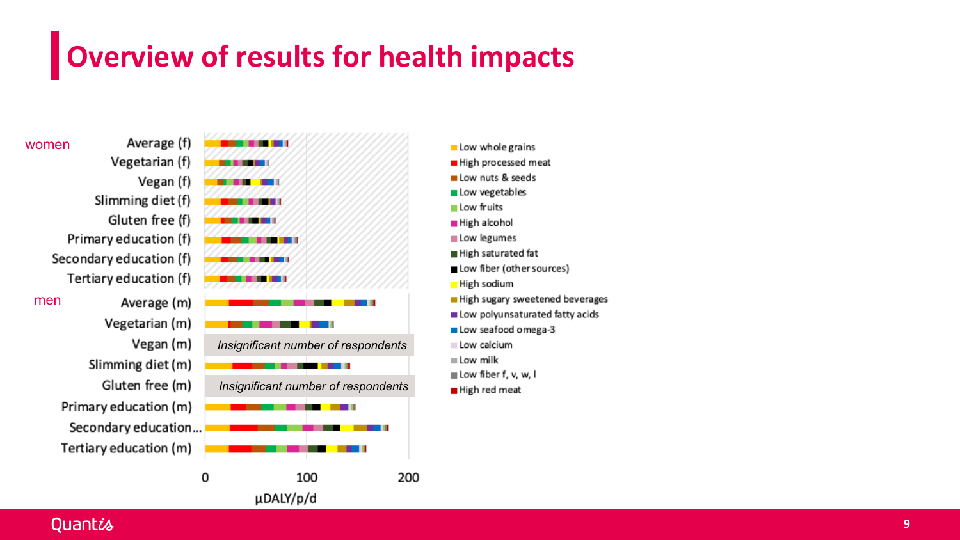### Overview of results for health impacts

women

men

Vegetarian (f) Vegan (f) Slimming diet (f) Gluten free (f) Primary education (f) Secondary education (f) Tertiary education (f) Average (m) Vegetarian (m) Vegan (m) Slimming diet (m) Gluten free (m) Primary education (m) Secondary education... Tertiary education (m)

Average (f)

----. . . . . Insignificant number of respondents . . . Insignificant number of respondents 100 200 0

µDALY/p/d

- Low whole grains
- High processed meat
- Low nuts & seeds
- Low vegetables
- Low fruits
- High alcohol
- Low legumes
- High saturated fat
- Low fiber (other sources)
- High sodium
- High sugary sweetened beverages
- Low polyunsaturated fatty acids
- Low seafood omega-3
- Low calcium
- $\equiv$  Low milk
- Low fiber f, v, w, I
- High red meat

#### Quantis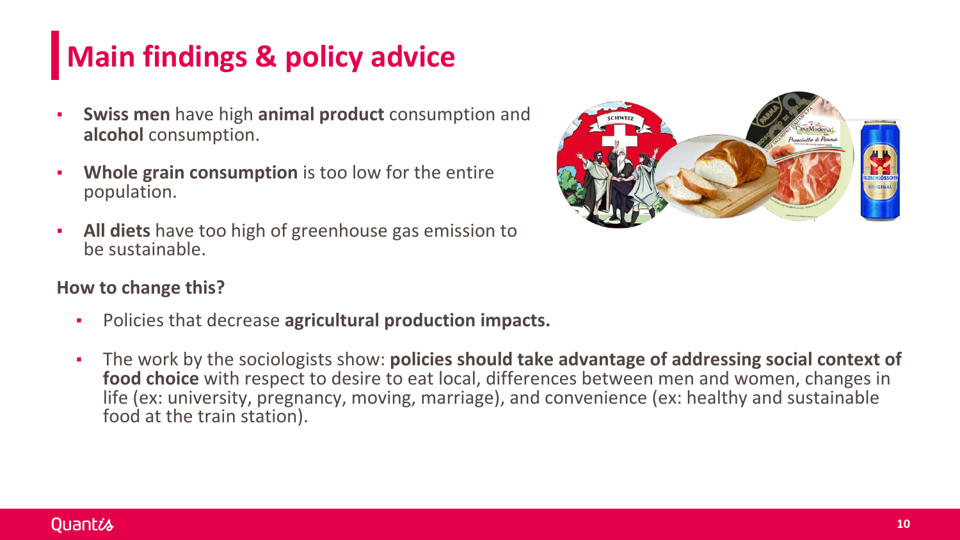### **Main findings & policy advice**

- **Swiss men** have high **animal product** consumption and **alcohol** consumption.
- **Whole grain consumption** is too low for the entire population.
- **All diets** have too high of greenhouse gas emission to be sustainable.



#### **How to change this?**

- Policies that decrease **agricultural production impacts.**
- The work by the sociologists show: **policies should take advantage of addressing social context of food choice** with respect to desire to eat local, differences between men and women, changes in life (ex: university, pregnancy, moving, marriage), and convenience (ex: healthy and sustainable food at the train station).